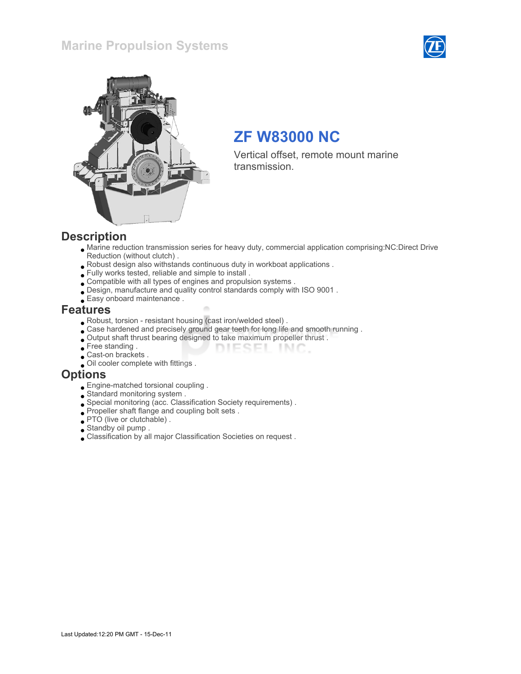### Marine Propulsion Systems





# ZF W83000 NC

Vertical offset, remote mount marine transmission.

#### **Description**

Marine reduction transmission series for heavy duty, commercial application comprising:NC:Direct Drive Reduction (without clutch) .

DIESEL INC.

- Robust design also withstands continuous duty in workboat applications .
- Fully works tested, reliable and simple to install .
- Compatible with all types of engines and propulsion systems .
- Design, manufacture and quality control standards comply with ISO 9001 .
- Easy onboard maintenance .

#### Features

- Robust, torsion resistant housing (cast iron/welded steel) .
- Case hardened and precisely ground gear teeth for long life and smooth running .
- Output shaft thrust bearing designed to take maximum propeller thrust .
- Free standing .
- **Cast-on brackets** .
- Oil cooler complete with fittings .

#### **Options**

- Engine-matched torsional coupling .
- Standard monitoring system .
- Special monitoring (acc. Classification Society requirements) .
- Propeller shaft flange and coupling bolt sets .
- PTO (live or clutchable) .
- Standby oil pump .
- Classification by all major Classification Societies on request .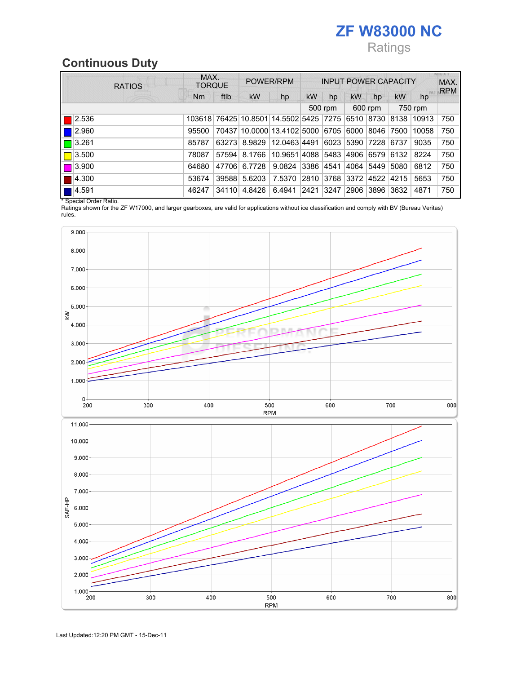# ZF W83000 NC Ratings

# Continuous Duty

| <b>RATIOS</b> | MAX.<br><b>TORQUE</b> |       | POWER/RPM                              |              | <b>INPUT POWER CAPACITY</b> |           |            |      |           | MIU X. T<br>MAX.<br><b>RPM</b> |     |
|---------------|-----------------------|-------|----------------------------------------|--------------|-----------------------------|-----------|------------|------|-----------|--------------------------------|-----|
|               | Nm                    | ftlb  | <b>kW</b>                              | hp           | <b>kW</b>                   | hp        | <b>kW</b>  | hp   | <b>kW</b> | hp                             |     |
|               | 500 rpm               |       | 600 rpm                                |              | 750 rpm                     |           |            |      |           |                                |     |
| 2.536         |                       |       | 103618 76425 10.8501 14.5502 5425 7275 |              |                             |           | 6510 8730  |      | 8138      | 10913                          | 750 |
| 2.960         | 95500                 |       | 70437 10.0000 13.4102 5000 6705        |              |                             |           | 6000       | 8046 | 7500      | 10058                          | 750 |
| 3.261         | 85787                 | 63273 | 8.9829                                 | 12.0463 4491 |                             |           | 6023 5390  | 7228 | 6737      | 9035                           | 750 |
| 3.500         | 78087                 | 57594 | 8.1766                                 | 10.9651 4088 |                             |           | 5483  4906 | 6579 | 6132      | 8224                           | 750 |
| 13.900        | 64680                 | 47706 | 6.7728                                 | 9.0824       | 3386                        | 4541      | 4064       | 5449 | 5080      | 6812                           | 750 |
| 4.300         | 53674                 | 39588 | 5.6203                                 | 7.5370       | 2810                        | 3768 3372 |            | 4522 | 4215      | 5653                           | 750 |
| 4.591         | 46247                 | 34110 | 4.8426                                 | 6.4941       | 2421                        | 3247      | 2906       | 3896 | 3632      | 4871                           | 750 |

\* Special Order Ratio.

Ratings shown for the ZF W17000, and larger gearboxes, are valid for applications without ice classification and comply with BV (Bureau Veritas) rules.

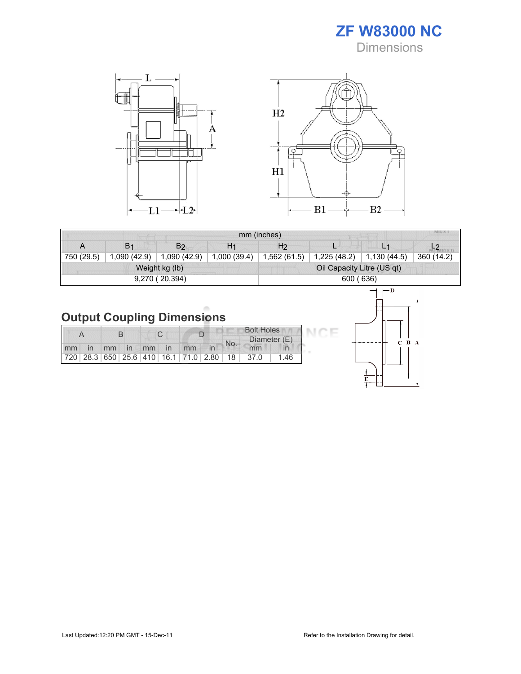ZF W83000 NC **Dimensions** 



|            | MIU X.<br>mm (inches)<br>H <sub>2</sub><br>B <sub>1</sub><br>H <sub>1</sub><br>B <sub>2</sub><br>A<br>ப |                |              |                            |              |              |            |  |  |
|------------|---------------------------------------------------------------------------------------------------------|----------------|--------------|----------------------------|--------------|--------------|------------|--|--|
|            |                                                                                                         |                |              |                            |              |              |            |  |  |
| 750 (29.5) | 1,090 (42.9)                                                                                            | 1,090 (42.9)   | 1,000 (39.4) | 1,562 (61.5)               | 1,225 (48.2) | 1,130 (44.5) | 360 (14.2) |  |  |
|            |                                                                                                         | Weight kg (lb) |              | Oil Capacity Litre (US qt) |              |              |            |  |  |
|            |                                                                                                         | 9,270 (20,394) |              | 600 (636)                  |              |              |            |  |  |

# Output Coupling Dimensions

|               |    |              |    |              |     |                                                         | <b>Bolt Holes</b> |              |      |  |
|---------------|----|--------------|----|--------------|-----|---------------------------------------------------------|-------------------|--------------|------|--|
|               |    |              |    |              | No. |                                                         |                   | Diameter (E) |      |  |
| $\mathsf{mm}$ | mm | $\mathsf{I}$ | mm | $\mathsf{I}$ | mm  |                                                         |                   | mm           |      |  |
|               |    |              |    |              |     | 720   28.3   650   25.6   410   16.1   71.0   2.80   18 |                   | 37.0         | 1.46 |  |



CE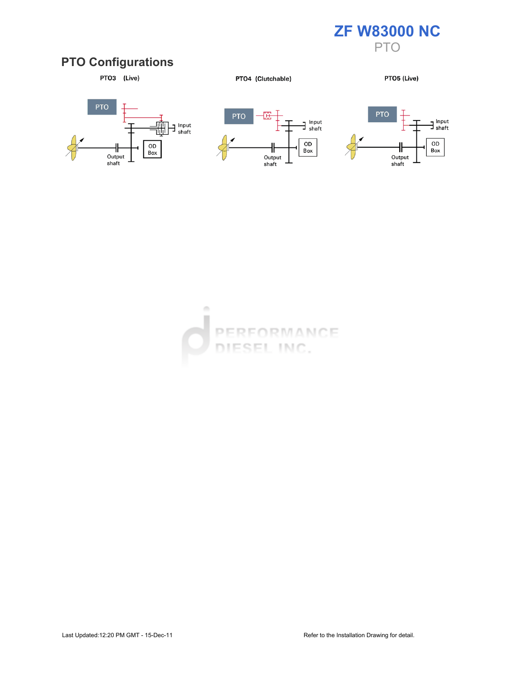

### PTO Configurations



PTO4 (Clutchable)

PTO5 (Live)